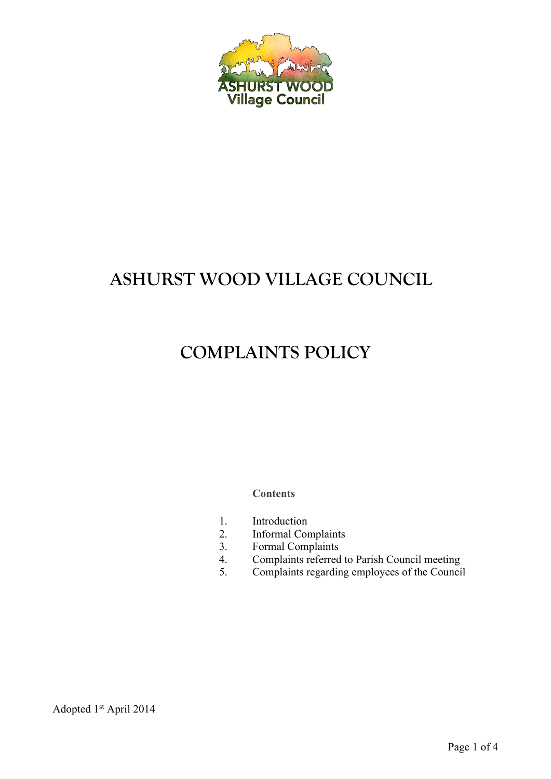

# **ASHURST WOOD VILLAGE COUNCIL**

# **COMPLAINTS POLICY**

**Contents**

- 1. Introduction
- 2. Informal Complaints
- 3. Formal Complaints
- 4. Complaints referred to Parish Council meeting
- 5. Complaints regarding employees of the Council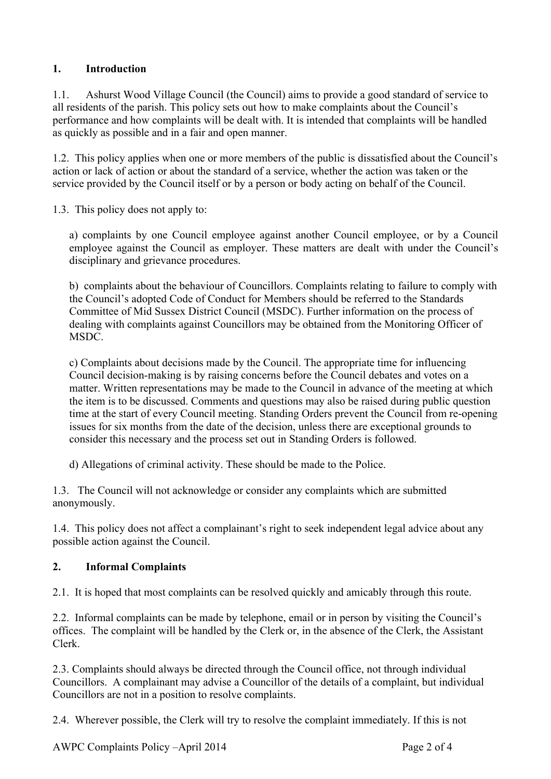### **1. Introduction**

1.1. Ashurst Wood Village Council (the Council) aims to provide a good standard of service to all residents of the parish. This policy sets out how to make complaints about the Council's performance and how complaints will be dealt with. It is intended that complaints will be handled as quickly as possible and in a fair and open manner.

1.2. This policy applies when one or more members of the public is dissatisfied about the Council's action or lack of action or about the standard of a service, whether the action was taken or the service provided by the Council itself or by a person or body acting on behalf of the Council.

1.3. This policy does not apply to:

a) complaints by one Council employee against another Council employee, or by a Council employee against the Council as employer. These matters are dealt with under the Council's disciplinary and grievance procedures.

b) complaints about the behaviour of Councillors. Complaints relating to failure to comply with the Council's adopted Code of Conduct for Members should be referred to the Standards Committee of Mid Sussex District Council (MSDC). Further information on the process of dealing with complaints against Councillors may be obtained from the Monitoring Officer of MSDC.

c) Complaints about decisions made by the Council. The appropriate time for influencing Council decision-making is by raising concerns before the Council debates and votes on a matter. Written representations may be made to the Council in advance of the meeting at which the item is to be discussed. Comments and questions may also be raised during public question time at the start of every Council meeting. Standing Orders prevent the Council from re-opening issues for six months from the date of the decision, unless there are exceptional grounds to consider this necessary and the process set out in Standing Orders is followed.

d) Allegations of criminal activity. These should be made to the Police.

1.3. The Council will not acknowledge or consider any complaints which are submitted anonymously.

1.4. This policy does not affect a complainant's right to seek independent legal advice about any possible action against the Council.

## **2. Informal Complaints**

2.1. It is hoped that most complaints can be resolved quickly and amicably through this route.

2.2. Informal complaints can be made by telephone, email or in person by visiting the Council's offices. The complaint will be handled by the Clerk or, in the absence of the Clerk, the Assistant Clerk.

2.3. Complaints should always be directed through the Council office, not through individual Councillors. A complainant may advise a Councillor of the details of a complaint, but individual Councillors are not in a position to resolve complaints.

2.4. Wherever possible, the Clerk will try to resolve the complaint immediately. If this is not

AWPC Complaints Policy –April 2014 Page 2 of 4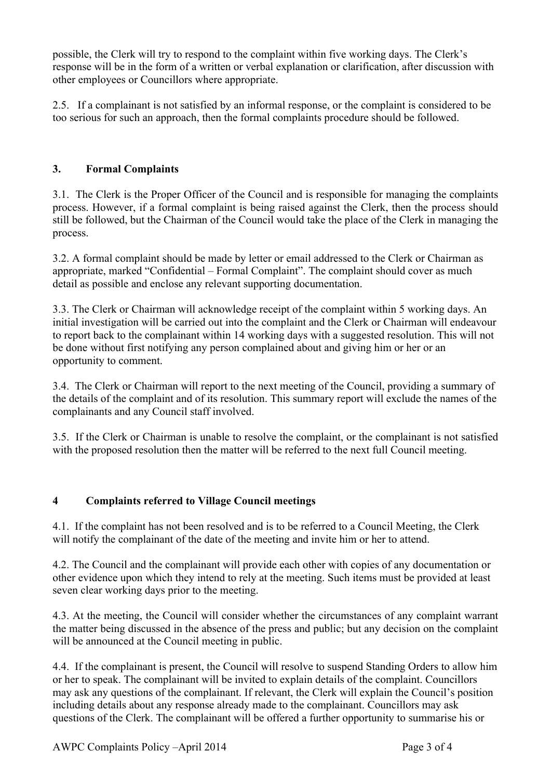possible, the Clerk will try to respond to the complaint within five working days. The Clerk's response will be in the form of a written or verbal explanation or clarification, after discussion with other employees or Councillors where appropriate.

2.5. If a complainant is not satisfied by an informal response, or the complaint is considered to be too serious for such an approach, then the formal complaints procedure should be followed.

## **3. Formal Complaints**

3.1. The Clerk is the Proper Officer of the Council and is responsible for managing the complaints process. However, if a formal complaint is being raised against the Clerk, then the process should still be followed, but the Chairman of the Council would take the place of the Clerk in managing the process.

3.2. A formal complaint should be made by letter or email addressed to the Clerk or Chairman as appropriate, marked "Confidential – Formal Complaint". The complaint should cover as much detail as possible and enclose any relevant supporting documentation.

3.3. The Clerk or Chairman will acknowledge receipt of the complaint within 5 working days. An initial investigation will be carried out into the complaint and the Clerk or Chairman will endeavour to report back to the complainant within 14 working days with a suggested resolution. This will not be done without first notifying any person complained about and giving him or her or an opportunity to comment.

3.4. The Clerk or Chairman will report to the next meeting of the Council, providing a summary of the details of the complaint and of its resolution. This summary report will exclude the names of the complainants and any Council staff involved.

3.5. If the Clerk or Chairman is unable to resolve the complaint, or the complainant is not satisfied with the proposed resolution then the matter will be referred to the next full Council meeting.

### **4 Complaints referred to Village Council meetings**

4.1. If the complaint has not been resolved and is to be referred to a Council Meeting, the Clerk will notify the complainant of the date of the meeting and invite him or her to attend.

4.2. The Council and the complainant will provide each other with copies of any documentation or other evidence upon which they intend to rely at the meeting. Such items must be provided at least seven clear working days prior to the meeting.

4.3. At the meeting, the Council will consider whether the circumstances of any complaint warrant the matter being discussed in the absence of the press and public; but any decision on the complaint will be announced at the Council meeting in public.

4.4. If the complainant is present, the Council will resolve to suspend Standing Orders to allow him or her to speak. The complainant will be invited to explain details of the complaint. Councillors may ask any questions of the complainant. If relevant, the Clerk will explain the Council's position including details about any response already made to the complainant. Councillors may ask questions of the Clerk. The complainant will be offered a further opportunity to summarise his or